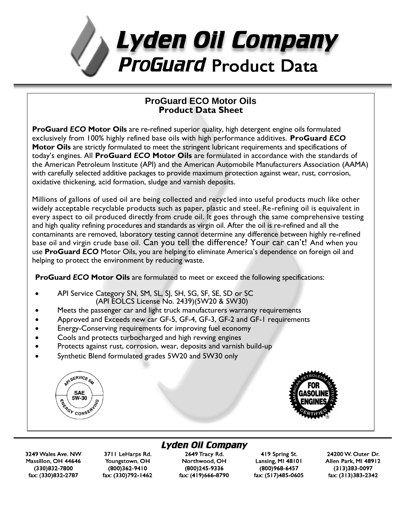

### **ProGuard ECO Motor Oils Product Data Sheet**

**ProGuard** *ECO* **Motor Oils** are re-refined superior quality, high detergent engine oils formulated exclusively from 100% highly refined base oils with high performance additives. **ProGuard** *ECO*  **Motor Oils** are strictly formulated to meet the stringent lubricant requirements and specifications of today's engines. All **ProGuard** *ECO* **Motor Oils** are formulated in accordance with the standards of the American Petroleum Institute (API) and the American Automobile Manufacturers Association (AAMA) with carefully selected additive packages to provide maximum protection against wear, rust, corrosion, oxidative thickening, acid formation, sludge and varnish deposits.

Millions of gallons of used oil are being collected and recycled into useful products much like other widely acceptable recyclable products such as paper, plastic and steel. Re-refining oil is equivalent in every aspect to oil produced directly from crude oil. It goes through the same comprehensive testing and high quality refining procedures and standards as virgin oil. After the oil is re-refined and all the contaminants are removed, laboratory testing cannot determine any difference between highly re-refined base oil and virgin crude base oil. Can you tell the difference? Your car can't! And when you use **ProGuard** *ECO* Motor Oils, you are helping to eliminate America's dependence on foreign oil and helping to protect the environment by reducing waste.

**ProGuard** *ECO* **Motor Oils** are formulated to meet or exceed the following specifications:

- API Service Category SN, SM, SL, SJ, SH, SG, SF, SE, SD or SC (API EOLCS License No. 2439)(5W20 & 5W30)
- Meets the passenger car and light truck manufacturers warranty requirements
- Approved and Exceeds new car GF-5, GF-4, GF-3, GF-2 and GF-1 requirements
- Energy-Conserving requirements for improving fuel economy
- Cools and protects turbocharged and high revving engines
- Protects against rust, corrosion, wear, deposits and varnish build-up
- Synthetic Blend formulated grades 5W20 and 5W30 only





3249 Wales Ave. NW Massillon, OH 44646 (330)832-7800 fax: (330)832-2787

3711 LeHarps Rd. Youngstown, OH (800)362-9410 fax: (330)792-1462

# Lyden Oil Company

2649 Tracy Rd. Northwood, OH (800)245-9336 fax: (419)666-8790

419 Spring St. Lansing, MI 48101 (800)968-6457 fax: (517)485-0605

24200 W. Outer Dr. Allen Park, MI 48912  $(313)383 - 0097$ fax: (313)383-2342